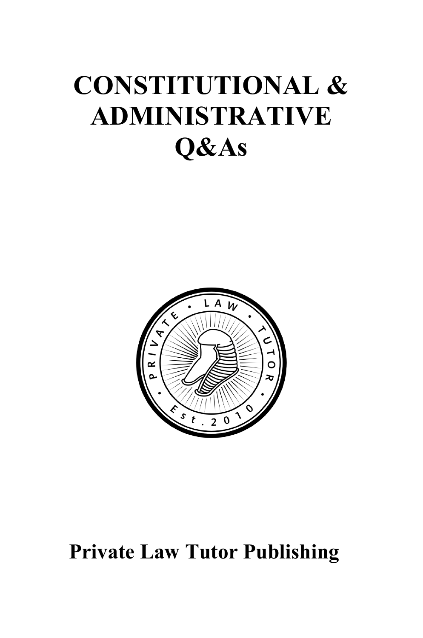# **CONSTITUTIONAL & ADMINISTRATIVE Q&As**



# **Private Law Tutor Publishing**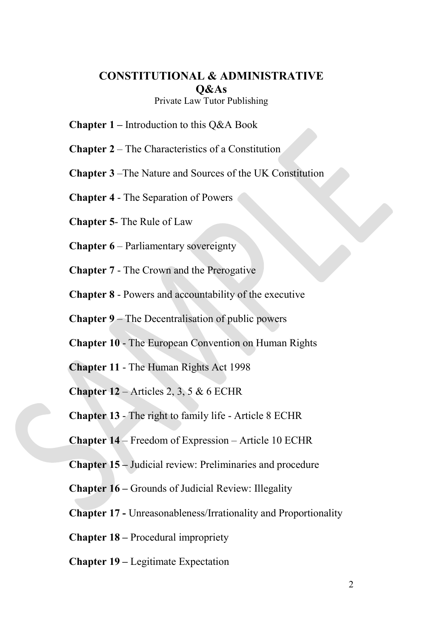### **CONSTITUTIONAL & ADMINISTRATIVE Q&As**

Private Law Tutor Publishing

**Chapter 1 –** Introduction to this Q&A Book

**Chapter 2** – The Characteristics of a Constitution

**Chapter 3** –The Nature and Sources of the UK Constitution

**Chapter 4** - The Separation of Powers

**Chapter 5**- The Rule of Law

**Chapter 6** – Parliamentary sovereignty

**Chapter 7** - The Crown and the Prerogative

**Chapter 8** - Powers and accountability of the executive

**Chapter 9** – The Decentralisation of public powers

**Chapter 10** - The European Convention on Human Rights

**Chapter 11** - The Human Rights Act 1998

**Chapter 12** – Articles 2, 3, 5 & 6 ECHR

**Chapter 13** - The right to family life - Article 8 ECHR

**Chapter 14** – Freedom of Expression – Article 10 ECHR

**Chapter 15 –** Judicial review: Preliminaries and procedure

**Chapter 16 –** Grounds of Judicial Review: Illegality

**Chapter 17 -** Unreasonableness/Irrationality and Proportionality

**Chapter 18 –** Procedural impropriety

**Chapter 19 –** Legitimate Expectation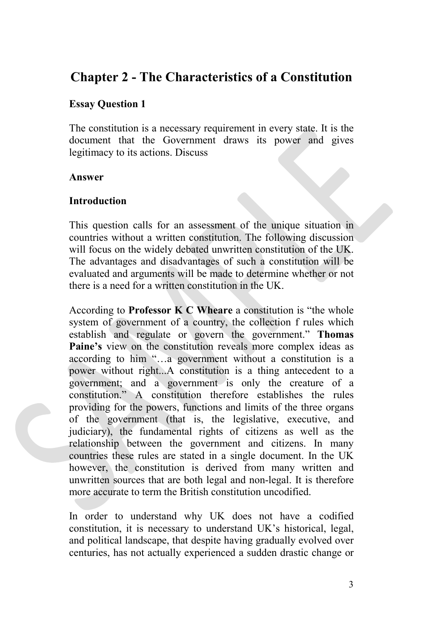## **Chapter 2 - The Characteristics of a Constitution**

#### **Essay Question 1**

The constitution is a necessary requirement in every state. It is the document that the Government draws its power and gives legitimacy to its actions. Discuss

#### **Answer**

#### **Introduction**

This question calls for an assessment of the unique situation in countries without a written constitution. The following discussion will focus on the widely debated unwritten constitution of the UK. The advantages and disadvantages of such a constitution will be evaluated and arguments will be made to determine whether or not there is a need for a written constitution in the UK.

According to **Professor K C Wheare** a constitution is "the whole system of government of a country, the collection f rules which establish and regulate or govern the government." **Thomas Paine's** view on the constitution reveals more complex ideas as according to him "…a government without a constitution is a power without right...A constitution is a thing antecedent to a government; and a government is only the creature of a constitution." A constitution therefore establishes the rules providing for the powers, functions and limits of the three organs of the government (that is, the legislative, executive, and judiciary), the fundamental rights of citizens as well as the relationship between the government and citizens. In many countries these rules are stated in a single document. In the UK however, the constitution is derived from many written and unwritten sources that are both legal and non-legal. It is therefore more accurate to term the British constitution uncodified.

In order to understand why UK does not have a codified constitution, it is necessary to understand UK's historical, legal, and political landscape, that despite having gradually evolved over centuries, has not actually experienced a sudden drastic change or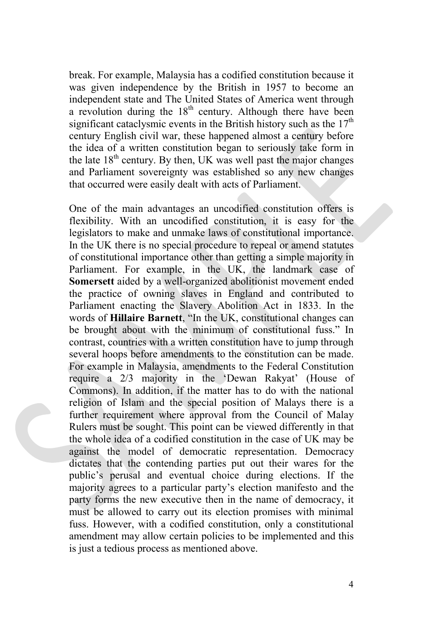break. For example, Malaysia has a codified constitution because it was given independence by the British in 1957 to become an independent state and The United States of America went through a revolution during the  $18<sup>th</sup>$  century. Although there have been significant cataclysmic events in the British history such as the  $17<sup>th</sup>$ century English civil war, these happened almost a century before the idea of a written constitution began to seriously take form in the late  $18<sup>th</sup>$  century. By then, UK was well past the major changes and Parliament sovereignty was established so any new changes that occurred were easily dealt with acts of Parliament.

One of the main advantages an uncodified constitution offers is flexibility. With an uncodified constitution, it is easy for the legislators to make and unmake laws of constitutional importance. In the UK there is no special procedure to repeal or amend statutes of constitutional importance other than getting a simple majority in Parliament. For example, in the UK, the landmark case of **Somersett** aided by a well-organized abolitionist movement ended the practice of owning slaves in England and contributed to Parliament enacting the Slavery Abolition Act in 1833. In the words of **Hillaire Barnett**, "In the UK, constitutional changes can be brought about with the minimum of constitutional fuss." In contrast, countries with a written constitution have to jump through several hoops before amendments to the constitution can be made. For example in Malaysia, amendments to the Federal Constitution require a 2/3 majority in the 'Dewan Rakyat' (House of Commons). In addition, if the matter has to do with the national religion of Islam and the special position of Malays there is a further requirement where approval from the Council of Malay Rulers must be sought. This point can be viewed differently in that the whole idea of a codified constitution in the case of UK may be against the model of democratic representation. Democracy dictates that the contending parties put out their wares for the public's perusal and eventual choice during elections. If the majority agrees to a particular party's election manifesto and the party forms the new executive then in the name of democracy, it must be allowed to carry out its election promises with minimal fuss. However, with a codified constitution, only a constitutional amendment may allow certain policies to be implemented and this is just a tedious process as mentioned above.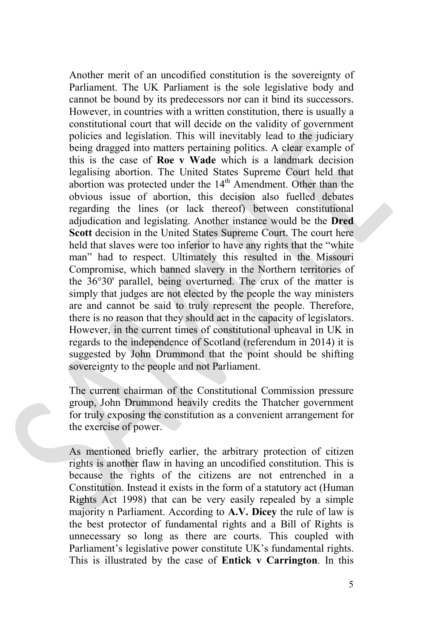Another merit of an uncodified constitution is the sovereignty of Parliament. The UK Parliament is the sole legislative body and cannot be bound by its predecessors nor can it bind its successors. However, in countries with a written constitution, there is usually a constitutional court that will decide on the validity of government policies and legislation. This will inevitably lead to the judiciary being dragged into matters pertaining politics. A clear example of this is the case of **Roe v Wade** which is a landmark decision legalising abortion. The United States Supreme Court held that abortion was protected under the 14<sup>th</sup> Amendment. Other than the obvious issue of abortion, this decision also fuelled debates regarding the lines (or lack thereof) between constitutional adjudication and legislating. Another instance would be the **Dred Scott** decision in the United States Supreme Court. The court here held that slaves were too inferior to have any rights that the "white man" had to respect. Ultimately this resulted in the Missouri Compromise, which banned slavery in the Northern territories of the 36°30' parallel, being overturned. The crux of the matter is simply that judges are not elected by the people the way ministers are and cannot be said to truly represent the people. Therefore, there is no reason that they should act in the capacity of legislators. However, in the current times of constitutional upheaval in UK in regards to the independence of Scotland (referendum in 2014) it is suggested by John Drummond that the point should be shifting sovereignty to the people and not Parliament.

The current chairman of the Constitutional Commission pressure group, John Drummond heavily credits the Thatcher government for truly exposing the constitution as a convenient arrangement for the exercise of power.

As mentioned briefly earlier, the arbitrary protection of citizen rights is another flaw in having an uncodified constitution. This is because the rights of the citizens are not entrenched in a Constitution. Instead it exists in the form of a statutory act (Human Rights Act 1998) that can be very easily repealed by a simple majority n Parliament. According to **A.V. Dicey** the rule of law is the best protector of fundamental rights and a Bill of Rights is unnecessary so long as there are courts. This coupled with Parliament's legislative power constitute UK's fundamental rights. This is illustrated by the case of **Entick v Carrington**. In this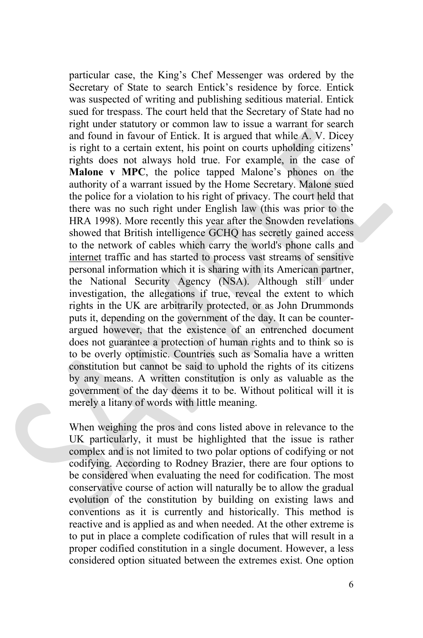particular case, the King's Chef Messenger was ordered by the Secretary of State to search Entick's residence by force. Entick was suspected of writing and publishing seditious material. Entick sued for trespass. The court held that the Secretary of State had no right under statutory or common law to issue a warrant for search and found in favour of Entick. It is argued that while A. V. Dicey is right to a certain extent, his point on courts upholding citizens' rights does not always hold true. For example, in the case of **Malone v MPC**, the police tapped Malone's phones on the authority of a warrant issued by the Home Secretary. Malone sued the police for a violation to his right of privacy. The court held that there was no such right under English law (this was prior to the HRA 1998). More recently this year after the Snowden revelations showed that British intelligence GCHQ has secretly gained access to the network of cables which carry the world's phone calls and [internet](http://www.guardian.co.uk/technology/internet) traffic and has started to process vast streams of sensitive personal information which it is sharing with its American partner, the National Security Agency (NSA). Although still under investigation, the allegations if true, reveal the extent to which rights in the UK are arbitrarily protected, or as John Drummonds puts it, depending on the government of the day. It can be counterargued however, that the existence of an entrenched document does not guarantee a protection of human rights and to think so is to be overly optimistic. Countries such as Somalia have a written constitution but cannot be said to uphold the rights of its citizens by any means. A written constitution is only as valuable as the government of the day deems it to be. Without political will it is merely a litany of words with little meaning.

When weighing the pros and cons listed above in relevance to the UK particularly, it must be highlighted that the issue is rather complex and is not limited to two polar options of codifying or not codifying. According to Rodney Brazier, there are four options to be considered when evaluating the need for codification. The most conservative course of action will naturally be to allow the gradual evolution of the constitution by building on existing laws and conventions as it is currently and historically. This method is reactive and is applied as and when needed. At the other extreme is to put in place a complete codification of rules that will result in a proper codified constitution in a single document. However, a less considered option situated between the extremes exist. One option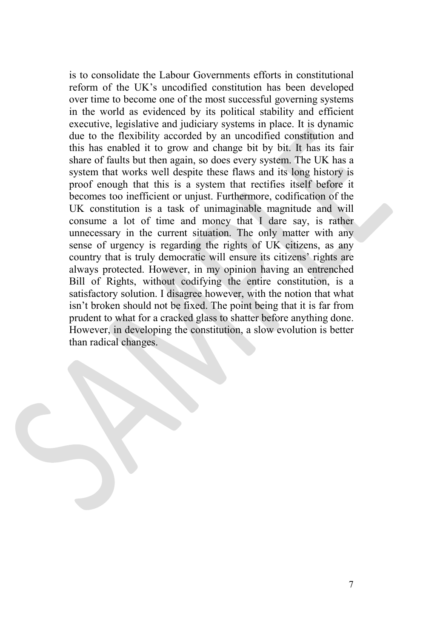is to consolidate the Labour Governments efforts in constitutional reform of the UK's uncodified constitution has been developed over time to become one of the most successful governing systems in the world as evidenced by its political stability and efficient executive, legislative and judiciary systems in place. It is dynamic due to the flexibility accorded by an uncodified constitution and this has enabled it to grow and change bit by bit. It has its fair share of faults but then again, so does every system. The UK has a system that works well despite these flaws and its long history is proof enough that this is a system that rectifies itself before it becomes too inefficient or unjust. Furthermore, codification of the UK constitution is a task of unimaginable magnitude and will consume a lot of time and money that I dare say, is rather unnecessary in the current situation. The only matter with any sense of urgency is regarding the rights of UK citizens, as any country that is truly democratic will ensure its citizens' rights are always protected. However, in my opinion having an entrenched Bill of Rights, without codifying the entire constitution, is a satisfactory solution. I disagree however, with the notion that what isn't broken should not be fixed. The point being that it is far from prudent to what for a cracked glass to shatter before anything done. However, in developing the constitution, a slow evolution is better than radical changes.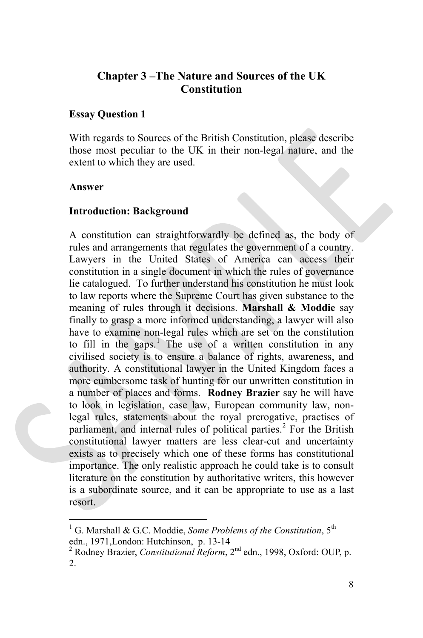#### **Chapter 3 –The Nature and Sources of the UK Constitution**

#### **Essay Question 1**

With regards to Sources of the British Constitution, please describe those most peculiar to the UK in their non-legal nature, and the extent to which they are used.

#### **Answer**

#### **Introduction: Background**

A constitution can straightforwardly be defined as, the body of rules and arrangements that regulates the government of a country. Lawyers in the United States of America can access their constitution in a single document in which the rules of governance lie catalogued. To further understand his constitution he must look to law reports where the Supreme Court has given substance to the meaning of rules through it decisions. **Marshall & Moddie** say finally to grasp a more informed understanding, a lawyer will also have to examine non-legal rules which are set on the constitution to fill in the gaps.<sup>[1](#page-7-0)</sup> The use of a written constitution in any civilised society is to ensure a balance of rights, awareness, and authority. A constitutional lawyer in the United Kingdom faces a more cumbersome task of hunting for our unwritten constitution in a number of places and forms. **Rodney Brazier** say he will have to look in legislation, case law, European community law, nonlegal rules, statements about the royal prerogative, practises of parliament, and internal rules of political parties.<sup>[2](#page-7-1)</sup> For the British constitutional lawyer matters are less clear-cut and uncertainty exists as to precisely which one of these forms has constitutional importance. The only realistic approach he could take is to consult literature on the constitution by authoritative writers, this however is a subordinate source, and it can be appropriate to use as a last resort.

<span id="page-7-0"></span><sup>1</sup> G. Marshall & G.C. Moddie, *Some Problems of the Constitution*, 5th edn., 1971, London: Hutchinson, p. 13-14<br><sup>2</sup> Rodney Brazier, *Constitutional Reform*, 2<sup>nd</sup> edn., 1998, Oxford: OUP, p.

<span id="page-7-1"></span><sup>2.</sup>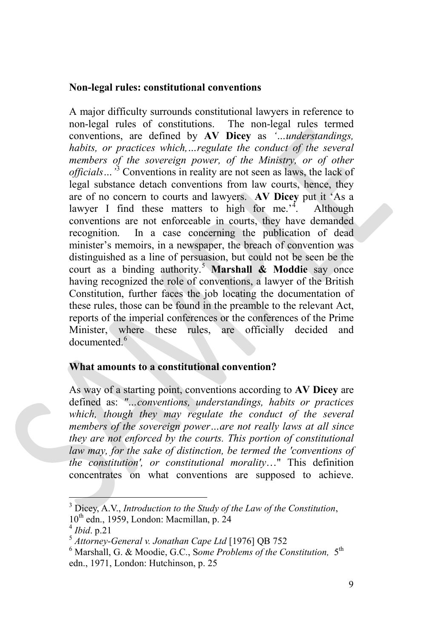#### **Non-legal rules: constitutional conventions**

A major difficulty surrounds constitutional lawyers in reference to non-legal rules of constitutions. The non-legal rules termed conventions, are defined by **AV Dicey** as *'…understandings, habits, or practices which,...regulate the conduct of the several members of the sovereign power, of the Ministry, or of other officials…'*[3](#page-8-0) Conventions in reality are not seen as laws, the lack of legal substance detach conventions from law courts, hence, they are of no concern to courts and lawyers. **AV Dicey** put it 'As a lawyer I find these matters to high for me.<sup> $4$ </sup>. . Although conventions are not enforceable in courts, they have demanded recognition. In a case concerning the publication of dead minister's memoirs, in a newspaper, the breach of convention was distinguished as a line of persuasion, but could not be seen be the court as a binding authority.[5](#page-8-2) **Marshall & Moddie** say once having recognized the role of conventions, a lawyer of the British Constitution, further faces the job locating the documentation of these rules, those can be found in the preamble to the relevant Act, reports of the imperial conferences or the conferences of the Prime Minister, where these rules, are officially decided and documented<sup>[6](#page-8-3)</sup>

#### **What amounts to a constitutional convention?**

As way of a starting point, conventions according to **AV Dicey** are defined as: *"…conventions, understandings, habits or practices which, though they may regulate the conduct of the several members of the sovereign power…are not really laws at all since they are not enforced by the courts. This portion of constitutional law may, for the sake of distinction, be termed the 'conventions of the constitution', or constitutional morality*…" This definition concentrates on what conventions are supposed to achieve.

<span id="page-8-0"></span> $3$  Dicey, A.V., *Introduction to the Study of the Law of the Constitution*,  $10<sup>th</sup>$  edn., 1959, London: Macmillan, p. 24

<span id="page-8-3"></span>

<span id="page-8-2"></span><span id="page-8-1"></span><sup>&</sup>lt;sup>4</sup> Ibid. p.21<br><sup>5</sup> *Attorney-General v. Jonathan Cape Ltd* [1976] QB 752<br><sup>6</sup> Marshall, G. & Moodie, G.C., Some Problems of the Constitution. 5<sup>th</sup> edn., 1971, London: Hutchinson, p. 25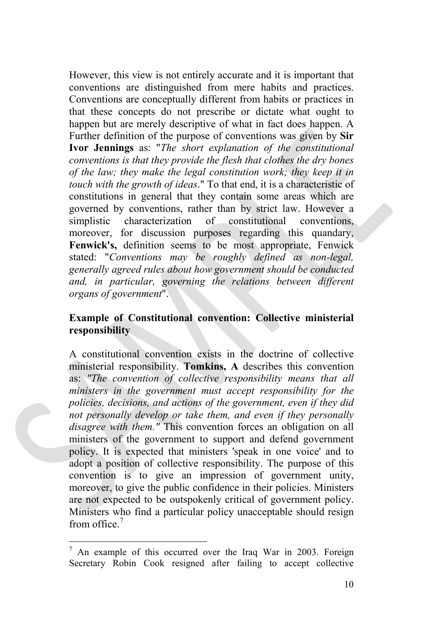However, this view is not entirely accurate and it is important that conventions are distinguished from mere habits and practices. Conventions are conceptually different from habits or practices in that these concepts do not prescribe or dictate what ought to happen but are merely descriptive of what in fact does happen. A Further definition of the purpose of conventions was given by **Sir Ivor Jennings** as: "*The short explanation of the constitutional conventions is that they provide the flesh that clothes the dry bones of the law; they make the legal constitution work; they keep it in touch with the growth of ideas*." To that end, it is a characteristic of constitutions in general that they contain some areas which are governed by conventions, rather than by strict law. However a simplistic characterization of constitutional conventions, moreover, for discussion purposes regarding this quandary, **Fenwick's,** definition seems to be most appropriate, Fenwick stated: "*Conventions may be roughly defined as non-legal, generally agreed rules about how government should be conducted and, in particular, governing the relations between different organs of government*".

#### **Example of Constitutional convention: Collective ministerial responsibility**

A constitutional convention exists in the doctrine of collective ministerial responsibility. **Tomkins, A** describes this convention as: *"The convention of collective responsibility means that all ministers in the government must accept responsibility for the policies, decisions, and actions of the government, even if they did not personally develop or take them, and even if they personally disagree with them."* This convention forces an obligation on all ministers of the government to support and defend government policy. It is expected that ministers 'speak in one voice' and to adopt a position of collective responsibility. The purpose of this convention is to give an impression of government unity, moreover, to give the public confidence in their policies. Ministers are not expected to be outspokenly critical of government policy. Ministers who find a particular policy unacceptable should resign from office<sup> $7$ </sup>

<span id="page-9-0"></span> $7$  An example of this occurred over the Iraq War in 2003. Foreign Secretary Robin Cook resigned after failing to accept collective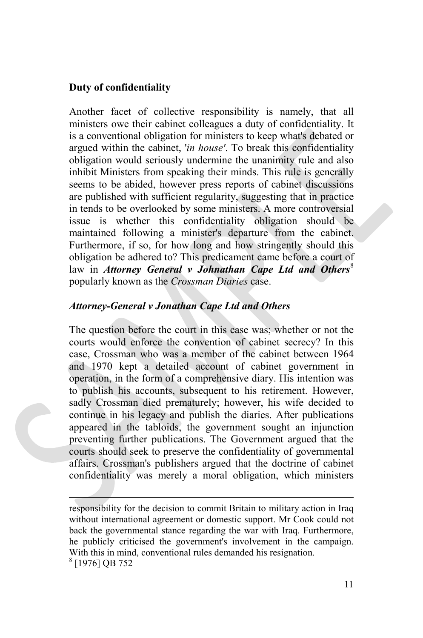#### **Duty of confidentiality**

Another facet of collective responsibility is namely, that all ministers owe their cabinet colleagues a duty of confidentiality. It is a conventional obligation for ministers to keep what's debated or argued within the cabinet, '*in house'*. To break this confidentiality obligation would seriously undermine the unanimity rule and also inhibit Ministers from speaking their minds. This rule is generally seems to be abided, however press reports of cabinet discussions are published with sufficient regularity, suggesting that in practice in tends to be overlooked by some ministers. A more controversial issue is whether this confidentiality obligation should be maintained following a minister's departure from the cabinet. Furthermore, if so, for how long and how stringently should this obligation be adhered to? This predicament came before a court of law in *Attorney General v Johnathan Cape Ltd and Others*<sup>[8](#page-10-0)</sup> popularly known as the *Crossman Diaries* case.

#### *Attorney-General v Jonathan Cape Ltd and Others*

The question before the court in this case was; whether or not the courts would enforce the convention of cabinet secrecy? In this case, Crossman who was a member of the cabinet between 1964 and 1970 kept a detailed account of cabinet government in operation, in the form of a comprehensive diary. His intention was to publish his accounts, subsequent to his retirement. However, sadly Crossman died prematurely; however, his wife decided to continue in his legacy and publish the diaries. After publications appeared in the tabloids, the government sought an injunction preventing further publications. The Government argued that the courts should seek to preserve the confidentiality of governmental affairs. Crossman's publishers argued that the doctrine of cabinet confidentiality was merely a moral obligation, which ministers

<span id="page-10-0"></span> responsibility for the decision to commit Britain to military action in Iraq without international agreement or domestic support. Mr Cook could not back the governmental stance regarding the war with Iraq. Furthermore, he publicly criticised the government's involvement in the campaign. With this in mind, conventional rules demanded his resignation. <sup>8</sup> [1976] QB 752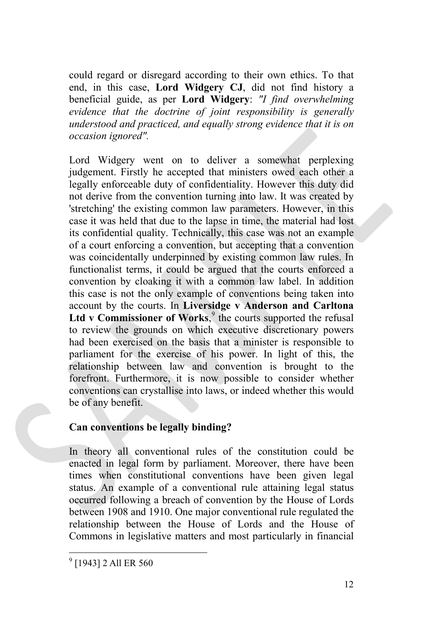could regard or disregard according to their own ethics. To that end, in this case, **Lord Widgery CJ**, did not find history a beneficial guide, as per **Lord Widgery**: *"I find overwhelming evidence that the doctrine of joint responsibility is generally understood and practiced, and equally strong evidence that it is on occasion ignored".*

Lord Widgery went on to deliver a somewhat perplexing judgement. Firstly he accepted that ministers owed each other a legally enforceable duty of confidentiality. However this duty did not derive from the convention turning into law. It was created by 'stretching' the existing common law parameters. However, in this case it was held that due to the lapse in time, the material had lost its confidential quality. Technically, this case was not an example of a court enforcing a convention, but accepting that a convention was coincidentally underpinned by existing common law rules. In functionalist terms, it could be argued that the courts enforced a convention by cloaking it with a common law label. In addition this case is not the only example of conventions being taken into account by the courts. In **Liversidge v Anderson and Carltona**  Ltd v Commissioner of Works,<sup>[9](#page-11-0)</sup> the courts supported the refusal to review the grounds on which executive discretionary powers had been exercised on the basis that a minister is responsible to parliament for the exercise of his power. In light of this, the relationship between law and convention is brought to the forefront. Furthermore, it is now possible to consider whether conventions can crystallise into laws, or indeed whether this would be of any benefit.

#### **Can conventions be legally binding?**

In theory all conventional rules of the constitution could be enacted in legal form by parliament. Moreover, there have been times when constitutional conventions have been given legal status. An example of a conventional rule attaining legal status occurred following a breach of convention by the House of Lords between 1908 and 1910. One major conventional rule regulated the relationship between the House of Lords and the House of Commons in legislative matters and most particularly in financial

<span id="page-11-0"></span><sup>&</sup>lt;sup>9</sup> [1943] 2 All ER 560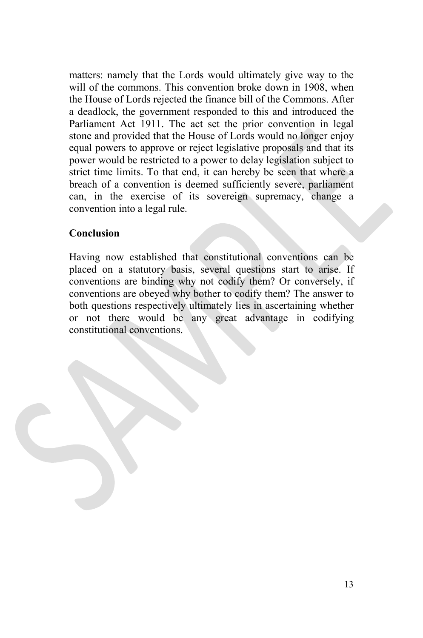matters: namely that the Lords would ultimately give way to the will of the commons. This convention broke down in 1908, when the House of Lords rejected the finance bill of the Commons. After a deadlock, the government responded to this and introduced the Parliament Act 1911. The act set the prior convention in legal stone and provided that the House of Lords would no longer enjoy equal powers to approve or reject legislative proposals and that its power would be restricted to a power to delay legislation subject to strict time limits. To that end, it can hereby be seen that where a breach of a convention is deemed sufficiently severe, parliament can, in the exercise of its sovereign supremacy, change a convention into a legal rule.

#### **Conclusion**

Having now established that constitutional conventions can be placed on a statutory basis, several questions start to arise. If conventions are binding why not codify them? Or conversely, if conventions are obeyed why bother to codify them? The answer to both questions respectively ultimately lies in ascertaining whether or not there would be any great advantage in codifying constitutional conventions.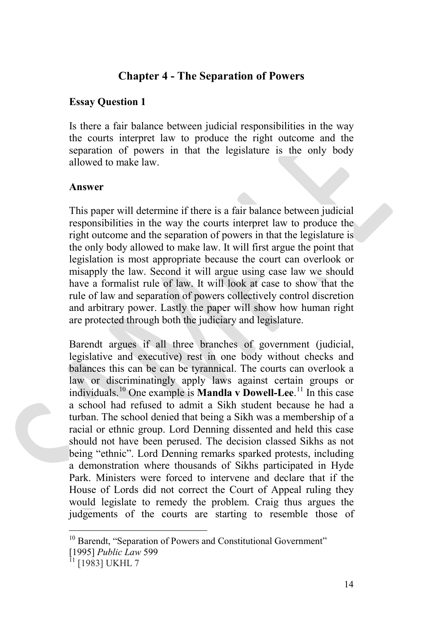#### **Chapter 4 - The Separation of Powers**

#### **Essay Question 1**

Is there a fair balance between judicial responsibilities in the way the courts interpret law to produce the right outcome and the separation of powers in that the legislature is the only body allowed to make law.

#### **Answer**

This paper will determine if there is a fair balance between judicial responsibilities in the way the courts interpret law to produce the right outcome and the separation of powers in that the legislature is the only body allowed to make law. It will first argue the point that legislation is most appropriate because the court can overlook or misapply the law. Second it will argue using case law we should have a formalist rule of law. It will look at case to show that the rule of law and separation of powers collectively control discretion and arbitrary power. Lastly the paper will show how human right are protected through both the judiciary and legislature.

Barendt argues if all three branches of government (judicial, legislative and executive) rest in one body without checks and balances this can be can be tyrannical. The courts can overlook a law or discriminatingly apply laws against certain groups or individuals.[10](#page-13-0) One example is **Mandla v Dowell-Lee**. [11](#page-13-1) In this case a school had refused to admit a Sikh student because he had a turban. The school denied that being a Sikh was a membership of a racial or ethnic group. Lord Denning dissented and held this case should not have been perused. The decision classed Sikhs as not being "ethnic". Lord Denning remarks sparked protests, including a demonstration where thousands of Sikhs participated in Hyde Park. Ministers were forced to intervene and declare that if the House of Lords did not correct the Court of Appeal ruling they would legislate to remedy the problem. Craig thus argues the judgements of the courts are starting to resemble those of

<span id="page-13-0"></span><sup>&</sup>lt;sup>10</sup> Barendt, "Separation of Powers and Constitutional Government" [1995] *Public Law* 599

<span id="page-13-1"></span><sup>&</sup>lt;sup>11</sup> [1983] UKHL 7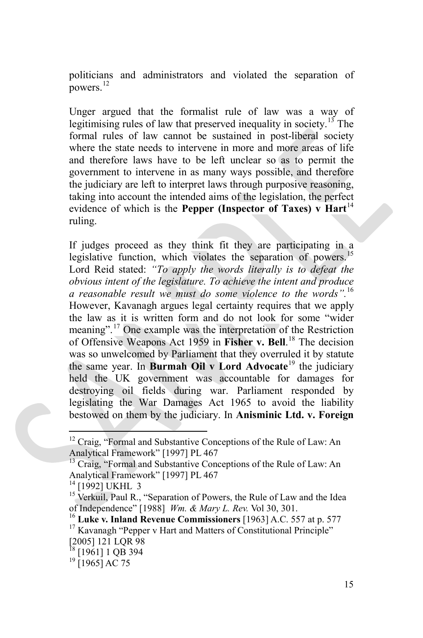politicians and administrators and violated the separation of powers. $^{12}$  $^{12}$  $^{12}$ 

Unger argued that the formalist rule of law was a way of legitimising rules of law that preserved inequality in society.<sup>[13](#page-14-1)</sup> The formal rules of law cannot be sustained in post-liberal society where the state needs to intervene in more and more areas of life and therefore laws have to be left unclear so as to permit the government to intervene in as many ways possible, and therefore the judiciary are left to interpret laws through purposive reasoning, taking into account the intended aims of the legislation, the perfect evidence of which is the **Pepper (Inspector of Taxes) v** Hart<sup>[14](#page-14-2)</sup> ruling.

If judges proceed as they think fit they are participating in a legislative function, which violates the separation of powers.<sup>[15](#page-14-3)</sup> Lord Reid stated: *"To apply the words literally is to defeat the obvious intent of the legislature. To achieve the intent and produce a reasonable result we must do some violence to the words".*[16](#page-14-4)  However, Kavanagh argues legal certainty requires that we apply the law as it is written form and do not look for some "wider meaning".[17](#page-14-5) One example was the interpretation of the Restriction of Offensive Weapons Act 1959 in **Fisher v. Bell**. [18](#page-14-6) The decision was so unwelcomed by Parliament that they overruled it by statute the same year. In **Burmah Oil v Lord Advocate**[19](#page-14-7) the judiciary held the UK government was accountable for damages for destroying oil fields during war. Parliament responded by legislating the War Damages Act 1965 to avoid the liability bestowed on them by the judiciary. In **Anisminic Ltd. v. Foreign** 

<span id="page-14-0"></span> $12$  Craig, "Formal and Substantive Conceptions of the Rule of Law: An Analytical Framework" [1997] PL 467

<span id="page-14-1"></span><sup>&</sup>lt;sup>13</sup> Craig, "Formal and Substantive Conceptions of the Rule of Law: An Analytical Framework" [1997] PL 467<br><sup>14</sup> [1992] UKHL 3

<span id="page-14-2"></span>

<span id="page-14-3"></span><sup>&</sup>lt;sup>15</sup> Verkuil, Paul R., "Separation of Powers, the Rule of Law and the Idea

<span id="page-14-4"></span>of Independence" [1988] *Wm. & Mary L. Rev.* Vol 30, 301.<br><sup>16</sup> **Luke v. Inland Revenue Commissioners** [1963] A.C. 557 at p. 577<sup>17</sup> Kavanagh "Pepper v Hart and Matters of Constitutional Principle"

<span id="page-14-5"></span> $\frac{2005}{18}$  121 LQR 98

<span id="page-14-6"></span><sup>&</sup>lt;sup>18</sup> [1961] 1 QB 394<br><sup>19</sup> [1965] AC 75

<span id="page-14-7"></span>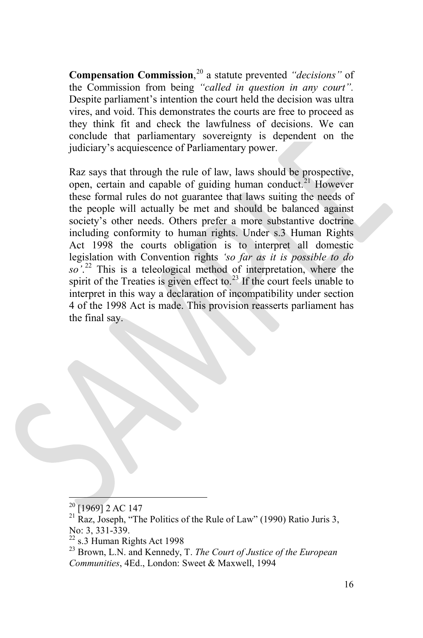**Compensation Commission**, [20](#page-15-0) a statute prevented *"decisions"* of the Commission from being *"called in question in any court".* Despite parliament's intention the court held the decision was ultra vires, and void. This demonstrates the courts are free to proceed as they think fit and check the lawfulness of decisions. We can conclude that parliamentary sovereignty is dependent on the judiciary's acquiescence of Parliamentary power.

Raz says that through the rule of law, laws should be prospective, open, certain and capable of guiding human conduct.<sup>[21](#page-15-1)</sup> However these formal rules do not guarantee that laws suiting the needs of the people will actually be met and should be balanced against society's other needs. Others prefer a more substantive doctrine including conformity to human rights. Under s.3 Human Rights Act 1998 the courts obligation is to interpret all domestic legislation with Convention rights *'so far as it is possible to do so'*. [22](#page-15-2) This is a teleological method of interpretation, where the spirit of the Treaties is given effect to.<sup>[23](#page-15-3)</sup> If the court feels unable to interpret in this way a declaration of incompatibility under section 4 of the 1998 Act is made. This provision reasserts parliament has the final say.

<span id="page-15-1"></span><span id="page-15-0"></span> $^{20}$  [1969] 2 AC 147<br><sup>21</sup> Raz, Joseph, "The Politics of the Rule of Law" (1990) Ratio Juris 3, No: 3, 331-339.<br><sup>22</sup> s.3 Human Rights Act 1998<br><sup>23</sup> Brown, L.N. and Kennedy, T. *The Court of Justice of the European* 

<span id="page-15-2"></span>

<span id="page-15-3"></span>*Communities*, 4Ed., London: Sweet & Maxwell, 1994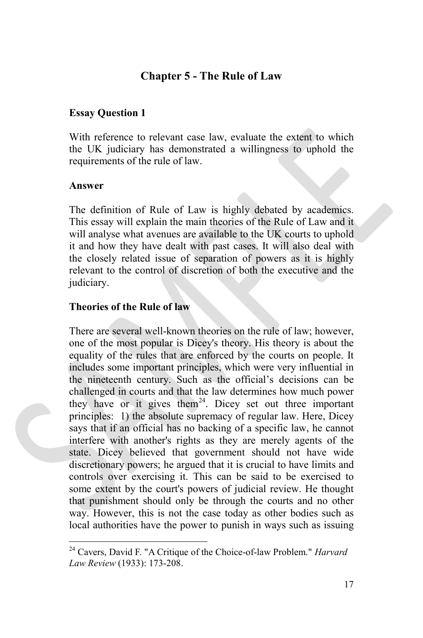#### **Chapter 5 - The Rule of Law**

#### **Essay Question 1**

With reference to relevant case law, evaluate the extent to which the UK judiciary has demonstrated a willingness to uphold the requirements of the rule of law.

#### **Answer**

The definition of Rule of Law is highly debated by academics. This essay will explain the main theories of the Rule of Law and it will analyse what avenues are available to the UK courts to uphold it and how they have dealt with past cases. It will also deal with the closely related issue of separation of powers as it is highly relevant to the control of discretion of both the executive and the judiciary.

#### **Theories of the Rule of law**

There are several well-known theories on the rule of law; however, one of the most popular is Dicey's theory. His theory is about the equality of the rules that are enforced by the courts on people. It includes some important principles, which were very influential in the nineteenth century. Such as the official's decisions can be challenged in courts and that the law determines how much power they have or it gives them<sup>[24](#page-16-0)</sup>. Dicey set out three important principles: 1) the absolute supremacy of regular law. Here, Dicey says that if an official has no backing of a specific law, he cannot interfere with another's rights as they are merely agents of the state. Dicey believed that government should not have wide discretionary powers; he argued that it is crucial to have limits and controls over exercising it. This can be said to be exercised to some extent by the court's powers of judicial review. He thought that punishment should only be through the courts and no other way. However, this is not the case today as other bodies such as local authorities have the power to punish in ways such as issuing

<span id="page-16-0"></span><sup>24</sup> Cavers, David F. "A Critique of the Choice-of-law Problem." *Harvard Law Review* (1933): 173-208.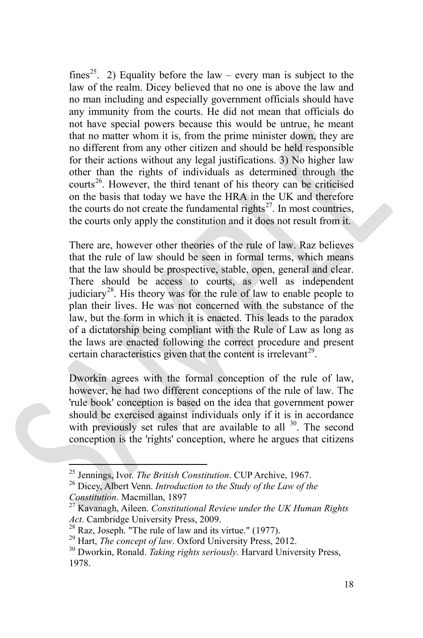fines<sup>25</sup>. 2) Equality before the law – every man is subject to the law of the realm. Dicey believed that no one is above the law and no man including and especially government officials should have any immunity from the courts. He did not mean that officials do not have special powers because this would be untrue, he meant that no matter whom it is, from the prime minister down, they are no different from any other citizen and should be held responsible for their actions without any legal justifications. 3) No higher law other than the rights of individuals as determined through the courts<sup>[26](#page-17-1)</sup>. However, the third tenant of his theory can be criticised on the basis that today we have the HRA in the UK and therefore the courts do not create the fundamental rights<sup>27</sup>. In most countries, the courts only apply the constitution and it does not result from it.

There are, however other theories of the rule of law. Raz believes that the rule of law should be seen in formal terms, which means that the law should be prospective, stable, open, general and clear. There should be access to courts, as well as independent judiciary<sup>28</sup>. His theory was for the rule of law to enable people to plan their lives. He was not concerned with the substance of the law, but the form in which it is enacted. This leads to the paradox of a dictatorship being compliant with the Rule of Law as long as the laws are enacted following the correct procedure and present certain characteristics given that the content is irrelevant<sup>29</sup>.

Dworkin agrees with the formal conception of the rule of law, however, he had two different conceptions of the rule of law. The 'rule book' conception is based on the idea that government power should be exercised against individuals only if it is in accordance with previously set rules that are available to all  $30$ . The second conception is the 'rights' conception, where he argues that citizens

<span id="page-17-1"></span><span id="page-17-0"></span><sup>&</sup>lt;sup>25</sup> Jennings, Ivor. *The British Constitution*. CUP Archive, 1967.<br><sup>26</sup> Dicey, Albert Venn. *Introduction to the Study of the Law of the Constitution*. Macmillan, 1897

<span id="page-17-2"></span><sup>&</sup>lt;sup>27</sup> Kavanagh, Aileen. *Constitutional Review under the UK Human Rights* Act. Cambridge University Press, 2009.<br><sup>28</sup> Raz, Joseph. "The rule of law and its virtue." (1977).<br><sup>29</sup> Hart, *The concept of law*. Oxford University Press, 2012.<br><sup>30</sup> Dworkin. Ronald. *Taking rights seriously*. Harvard Un

<span id="page-17-3"></span>

<span id="page-17-4"></span>

<span id="page-17-5"></span><sup>1978.</sup>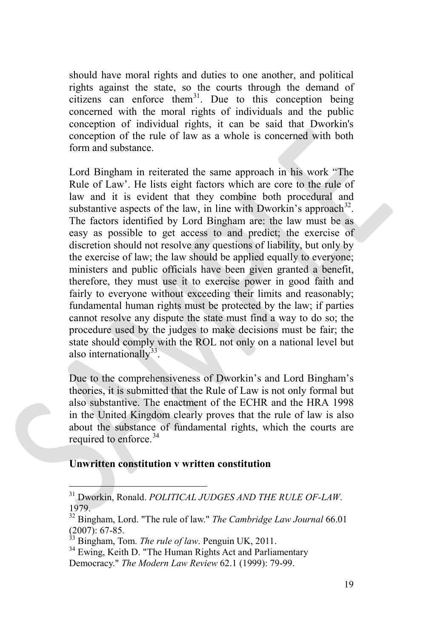should have moral rights and duties to one another, and political rights against the state, so the courts through the demand of citizens can enforce them<sup>[31](#page-18-0)</sup>. Due to this conception being concerned with the moral rights of individuals and the public conception of individual rights, it can be said that Dworkin's conception of the rule of law as a whole is concerned with both form and substance.

Lord Bingham in reiterated the same approach in his work "The Rule of Law'. He lists eight factors which are core to the rule of law and it is evident that they combine both procedural and substantive aspects of the law, in line with Dworkin's approach  $32$ . The factors identified by Lord Bingham are: the law must be as easy as possible to get access to and predict; the exercise of discretion should not resolve any questions of liability, but only by the exercise of law; the law should be applied equally to everyone; ministers and public officials have been given granted a benefit, therefore, they must use it to exercise power in good faith and fairly to everyone without exceeding their limits and reasonably; fundamental human rights must be protected by the law; if parties cannot resolve any dispute the state must find a way to do so; the procedure used by the judges to make decisions must be fair; the state should comply with the ROL not only on a national level but also internationally $33$ .

Due to the comprehensiveness of Dworkin's and Lord Bingham's theories, it is submitted that the Rule of Law is not only formal but also substantive. The enactment of the ECHR and the HRA 1998 in the United Kingdom clearly proves that the rule of law is also about the substance of fundamental rights, which the courts are required to enforce.<sup>34</sup>

#### **Unwritten constitution v written constitution**

<span id="page-18-0"></span><sup>31</sup> Dworkin, Ronald. *POLITICAL JUDGES AND THE RULE OF-LAW*. 1979.

<span id="page-18-1"></span><sup>&</sup>lt;sup>32</sup> Bingham, Lord. "The rule of law." *The Cambridge Law Journal* 66.01 (2007): 67-85.<br><sup>33</sup> Bingham. Tom. *The rule of law* Penouin LIK 2011

<span id="page-18-3"></span><span id="page-18-2"></span><sup>&</sup>lt;sup>33</sup> Bingham, Tom. *The rule of law*. Penguin UK, 2011.<br><sup>34</sup> Ewing, Keith D. "The Human Rights Act and Parliamentary

Democracy." *The Modern Law Review* 62.1 (1999): 79-99.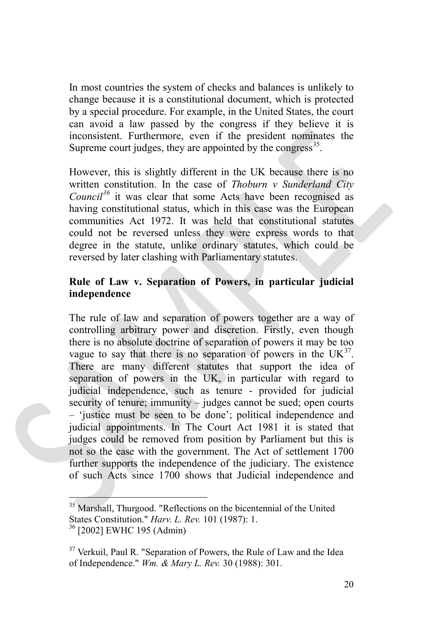In most countries the system of checks and balances is unlikely to change because it is a constitutional document, which is protected by a special procedure. For example, in the United States, the court can avoid a law passed by the congress if they believe it is inconsistent. Furthermore, even if the president nominates the Supreme court judges, they are appointed by the congress  $35$ .

However, this is slightly different in the UK because there is no written constitution. In the case of *Thoburn v Sunderland City Council[36](#page-19-1)* it was clear that some Acts have been recognised as having constitutional status, which in this case was the European communities Act 1972. It was held that constitutional statutes could not be reversed unless they were express words to that degree in the statute, unlike ordinary statutes, which could be reversed by later clashing with Parliamentary statutes.

#### **Rule of Law v. Separation of Powers, in particular judicial independence**

The rule of law and separation of powers together are a way of controlling arbitrary power and discretion. Firstly, even though there is no absolute doctrine of separation of powers it may be too vague to say that there is no separation of powers in the  $UK^{37}$ . There are many different statutes that support the idea of separation of powers in the UK, in particular with regard to judicial independence, such as tenure - provided for judicial security of tenure; immunity – judges cannot be sued; open courts – 'justice must be seen to be done'; political independence and judicial appointments. In The Court Act 1981 it is stated that judges could be removed from position by Parliament but this is not so the case with the government. The Act of settlement 1700 further supports the independence of the judiciary. The existence of such Acts since 1700 shows that Judicial independence and

<span id="page-19-0"></span><sup>&</sup>lt;sup>35</sup> Marshall, Thurgood. "Reflections on the bicentennial of the United States Constitution." *Harv. L. Rev.* 101 (1987): 1. <sup>36</sup> [2002] [EWHC 195 \(Admin\)](http://www.bailii.org/ew/cases/EWHC/Admin/2002/195.html)

<span id="page-19-2"></span><span id="page-19-1"></span> $37$  Verkuil, Paul R. "Separation of Powers, the Rule of Law and the Idea of Independence." *Wm. & Mary L. Rev.* 30 (1988): 301.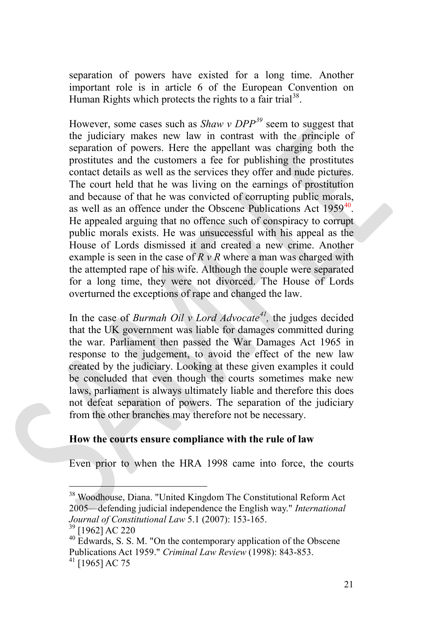separation of powers have existed for a long time. Another important role is in article 6 of the European Convention on Human Rights which protects the rights to a fair trial<sup>38</sup>.

However, some cases such as *Shaw v DPP[39](#page-20-1)* seem to suggest that the judiciary makes new law in contrast with the principle of separation of powers. Here the appellant was charging both the prostitutes and the customers a fee for publishing the prostitutes contact details as well as the services they offer and nude pictures. The court held that he was living on the earnings of prostitution and because of that he was convicted of corrupting public morals, as well as an offence under the Obscene Publications Act 1959<sup>40</sup>. He appealed arguing that no offence such of conspiracy to corrupt public morals exists. He was unsuccessful with his appeal as the House of Lords dismissed it and created a new crime. Another example is seen in the case of  $R \nu R$  where a man was charged with the attempted rape of his wife. Although the couple were separated for a long time, they were not divorced. The House of Lords overturned the exceptions of rape and changed the law.

In the case of *Burmah Oil v Lord Advocate[41,](#page-20-3)* the judges decided that the UK government was liable for damages committed during the war. Parliament then passed the War Damages Act 1965 in response to the judgement, to avoid the effect of the new law created by the judiciary. Looking at these given examples it could be concluded that even though the courts sometimes make new laws, parliament is always ultimately liable and therefore this does not defeat separation of powers. The separation of the judiciary from the other branches may therefore not be necessary.

#### **How the courts ensure compliance with the rule of law**

Even prior to when the HRA 1998 came into force, the courts

<span id="page-20-0"></span><sup>&</sup>lt;sup>38</sup> Woodhouse, Diana. "United Kingdom The Constitutional Reform Act 2005—defending judicial independence the English way." *International Journal of Constitutional Law* 5.1 (2007): 153-165.<br><sup>39</sup> [1962] AC 220<br><sup>40</sup> Edwards, S. S. M. "On the contemporary application of the Obscene

<span id="page-20-1"></span>

<span id="page-20-3"></span><span id="page-20-2"></span>Publications Act 1959." *Criminal Law Review* (1998): 843-853. <sup>41</sup> [1965] AC 75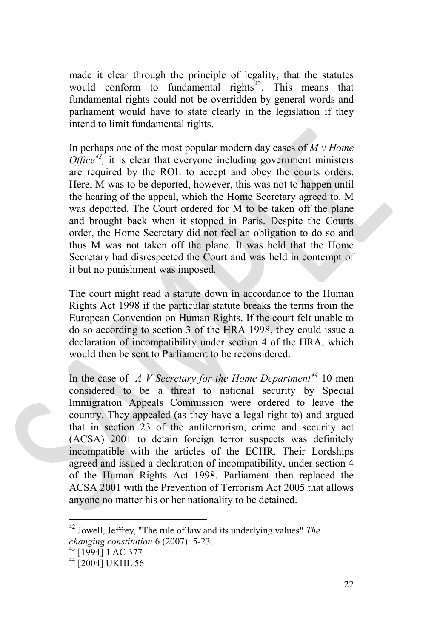made it clear through the principle of legality, that the statutes would conform to fundamental rights<sup> $42$ </sup>. This means that fundamental rights could not be overridden by general words and parliament would have to state clearly in the legislation if they intend to limit fundamental rights.

In perhaps one of the most popular modern day cases of *M v Home Office<sup>[43](#page-21-1)</sup>*, it is clear that everyone including government ministers are required by the ROL to accept and obey the courts orders. Here, M was to be deported, however, this was not to happen until the hearing of the appeal, which the Home Secretary agreed to. M was deported. The Court ordered for M to be taken off the plane and brought back when it stopped in Paris. Despite the Courts order, the Home Secretary did not feel an obligation to do so and thus M was not taken off the plane. It was held that the Home Secretary had disrespected the Court and was held in contempt of it but no punishment was imposed.

The court might read a statute down in accordance to the Human Rights Act 1998 if the particular statute breaks the terms from the European Convention on Human Rights. If the court felt unable to do so according to section 3 of the HRA 1998, they could issue a declaration of incompatibility under section 4 of the HRA, which would then be sent to Parliament to be reconsidered.

In the case of *A V Secretary for the Home Department[44](#page-21-2)* 10 men considered to be a threat to national security by Special Immigration Appeals Commission were ordered to leave the country. They appealed (as they have a legal right to) and argued that in section 23 of the antiterrorism, crime and security act (ACSA) 2001 to detain foreign terror suspects was definitely incompatible with the articles of the ECHR. Their Lordships agreed and issued a declaration of incompatibility, under section 4 of the Human Rights Act 1998. Parliament then replaced the ACSA 2001 with the Prevention of Terrorism Act 2005 that allows anyone no matter his or her nationality to be detained.

<span id="page-21-0"></span><sup>42</sup> Jowell, Jeffrey, "The rule of law and its underlying values" *The changing constitution* 6 (2007): 5-23.<br><sup>43</sup> [1994] 1 AC 377<br><sup>44</sup> [2004] UKHL 56

<span id="page-21-1"></span>

<span id="page-21-2"></span>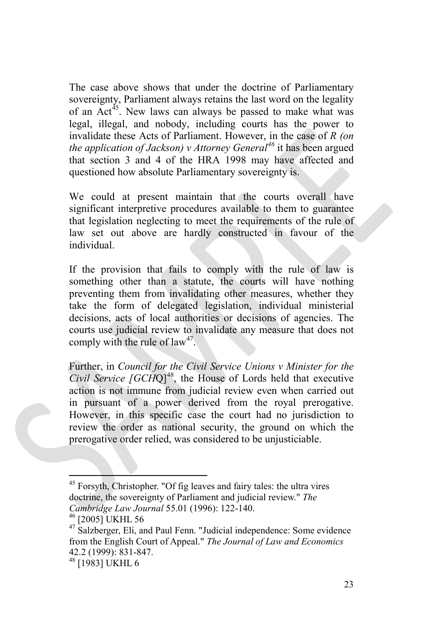The case above shows that under the doctrine of Parliamentary sovereignty, Parliament always retains the last word on the legality of an  $Act^{45}$ . New laws can always be passed to make what was legal, illegal, and nobody, including courts has the power to invalidate these Acts of Parliament. However, in the case of *R (on the application of Jackson) v Attorney General[46](#page-22-1)* it has been argued that section 3 and 4 of the HRA 1998 may have affected and questioned how absolute Parliamentary sovereignty is.

We could at present maintain that the courts overall have significant interpretive procedures available to them to guarantee that legislation neglecting to meet the requirements of the rule of law set out above are hardly constructed in favour of the individual.

If the provision that fails to comply with the rule of law is something other than a statute, the courts will have nothing preventing them from invalidating other measures, whether they take the form of delegated legislation, individual ministerial decisions, acts of local authorities or decisions of agencies. The courts use judicial review to invalidate any measure that does not comply with the rule of  $law<sup>47</sup>$  $law<sup>47</sup>$  $law<sup>47</sup>$ .

Further, in *Council for the Civil Service Unions v Minister for the Civil Service [GCHQ]*<sup>[48](#page-22-3)</sup>, the House of Lords held that executive action is not immune from judicial review even when carried out in pursuant of a power derived from the royal prerogative. However, in this specific case the court had no jurisdiction to review the order as national security, the ground on which the prerogative order relied, was considered to be unjusticiable.

<span id="page-22-0"></span><sup>&</sup>lt;sup>45</sup> Forsyth, Christopher. "Of fig leaves and fairy tales: the ultra vires doctrine, the sovereignty of Parliament and judicial review." *The* 

<span id="page-22-2"></span><span id="page-22-1"></span>

*Cambridge Law Journal* 55.01 (1996): 122-140.<br><sup>46</sup> [2005] UKHL 56<br><sup>47</sup> Salzberger, Eli, and Paul Fenn. "Judicial independence: Some evidence from the English Court of Appeal." *The Journal of Law and Economics* 42.2 (1999): 831-847.<br><sup>48</sup> [1983] UKHL 6

<span id="page-22-3"></span>